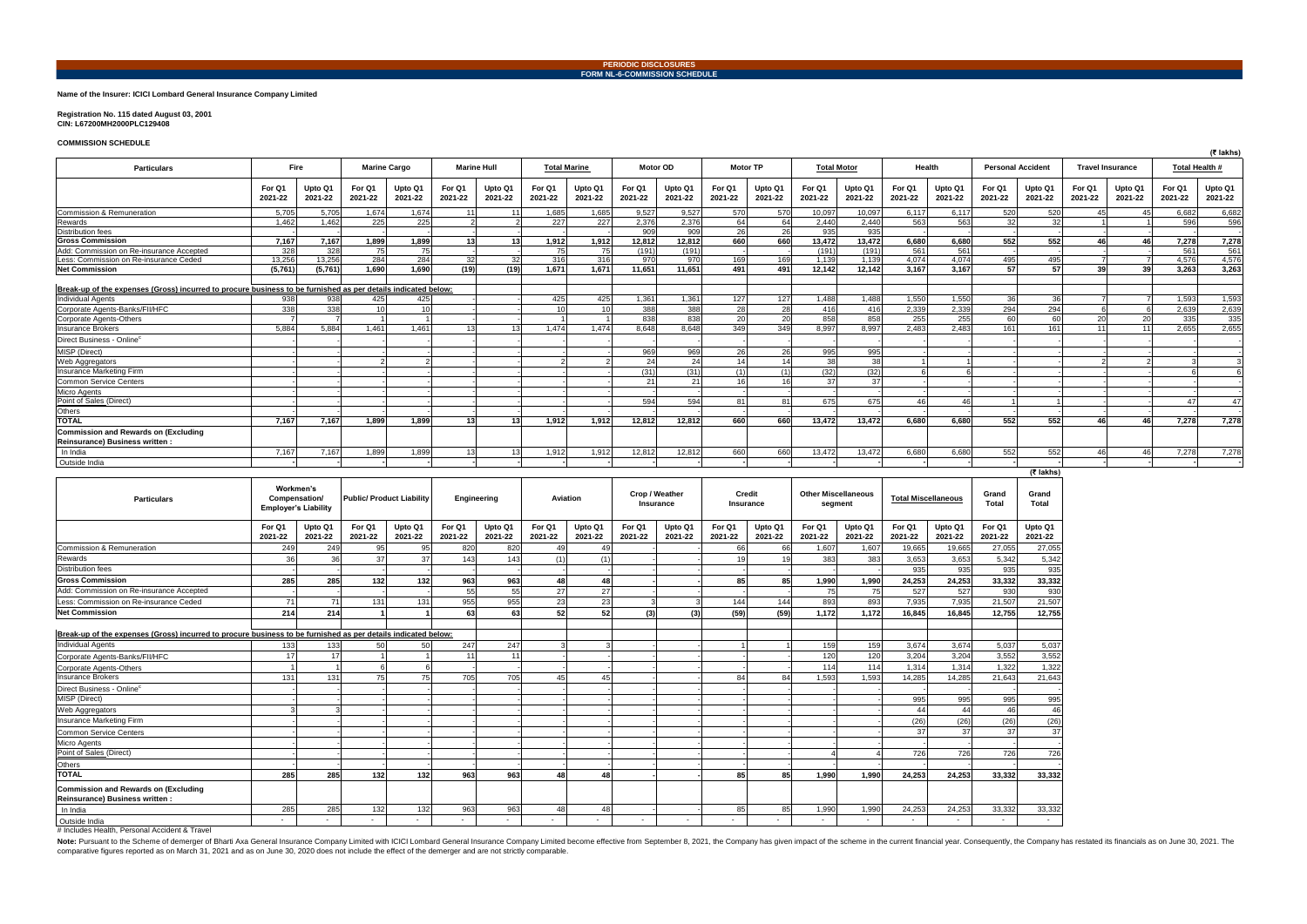## **Name of the Insurer: ICICI Lombard General Insurance Company Limited**

**Registration No. 115 dated August 03, 2001 CIN: L67200MH2000PLC129408** 

## **COMMISSION SCHEDULE**

Note: Pursuant to the Scheme of demerger of Bharti Axa General Insurance Company Limited with ICICI Lombard General Insurance Company Limited with ICICI Lombard General Insurance Company Limited become effective from Septe comparative figures reported as on March 31, 2021 and as on June 30, 2020 does not include the effect of the demerger and are not strictly comparable.

| <b>COMMICOLON SCHLEDGEL</b>                                                                                   |                   |                    |                   |                    |                   |                     |                    |                    |                     |                    |                   |                    |                   |                    |                    |                    |                   |                    |                          |                    |                   | (₹ lakhs)               |                |  |
|---------------------------------------------------------------------------------------------------------------|-------------------|--------------------|-------------------|--------------------|-------------------|---------------------|--------------------|--------------------|---------------------|--------------------|-------------------|--------------------|-------------------|--------------------|--------------------|--------------------|-------------------|--------------------|--------------------------|--------------------|-------------------|-------------------------|----------------|--|
| <b>Particulars</b>                                                                                            | <b>Fire</b>       |                    |                   |                    |                   | <b>Marine Cargo</b> | <b>Marine Hull</b> |                    | <b>Total Marine</b> |                    | <b>Motor OD</b>   |                    | <b>Motor TP</b>   |                    | <b>Total Motor</b> |                    | Health            |                    | <b>Personal Accident</b> |                    |                   | <b>Travel Insurance</b> | Total Health # |  |
|                                                                                                               | For Q1<br>2021-22 | Upto Q1<br>2021-22 | For Q1<br>2021-22 | Upto Q1<br>2021-22 | For Q1<br>2021-22 | Upto Q1<br>2021-22  | For Q1<br>2021-22  | Upto Q1<br>2021-22 | For Q1<br>2021-22   | Upto Q1<br>2021-22 | For Q1<br>2021-22 | Upto Q1<br>2021-22 | For Q1<br>2021-22 | Upto Q1<br>2021-22 | For Q1<br>2021-22  | Upto Q1<br>2021-22 | For Q1<br>2021-22 | Upto Q1<br>2021-22 | For Q1<br>2021-22        | Upto Q1<br>2021-22 | For Q1<br>2021-22 | Upto Q1<br>2021-22      |                |  |
| Commission & Remuneration                                                                                     | 5.705             | 5.705              | 1.674             | 1.674              | 11                |                     | 1.685              | 1.685              | 9.527               | 9.527              | 570               | 570                | 10.097            | 10.097             | 6.117              | 6.117              | 520               | 520                |                          | 45                 | 6.682             | 6,682                   |                |  |
| Rewards                                                                                                       | 1.462             | 1.462              | 225               | 225                |                   |                     | 227                | 227                | 2.376               | 2,376              | 64                | 64                 | 2.440             | 2.440              | 563                | 563                | 32                | 32                 |                          |                    | 596               | 596                     |                |  |
| <b>Distribution fees</b>                                                                                      |                   |                    |                   |                    |                   |                     |                    |                    | 909                 | 909                | 26                | 26                 | 935               | 935                |                    |                    |                   |                    |                          |                    |                   |                         |                |  |
| <b>Gross Commission</b>                                                                                       | 7,167             | 7,167              | 1,899             | 1.899              | 13                |                     | 1,912              | 1.912              | 12.812              | 12.812             | 660               | 660                | 13,472            | 13.472             | 6.680              | 6.680              | 552               | 552                |                          | 46                 | 7,278             | 7,278                   |                |  |
| Add: Commission on Re-insurance Accepted                                                                      | 328               | 328                | 75                | 75                 |                   |                     | 75                 | 75                 | (191)               | (191)              |                   |                    | (191)             | (191)              | 561                | 561                |                   |                    |                          |                    | 561               | 561                     |                |  |
| Less: Commission on Re-insurance Ceded                                                                        | 13.256            | 13.256             | 284               | 284                | 32                | 32                  | 316                | 316                | 970                 | 970                | 169               | 169                | 1,139             | 1.139              | 4.074              | 4.074              | 495               | 495                |                          |                    | 4.576             | 4,576                   |                |  |
| <b>Net Commission</b>                                                                                         | (5,761)           | (5,761)            | 1,690             | 1.690              | (19)              | (19)                | 1,671              | 1.671              | 11,651              | 11,651             | 491               | 491                | 12.142            | 12.142             | 3,167              | 3.167              | 57                | 57                 | 39                       | 39                 | 3.263             | 3,263                   |                |  |
|                                                                                                               |                   |                    |                   |                    |                   |                     |                    |                    |                     |                    |                   |                    |                   |                    |                    |                    |                   |                    |                          |                    |                   |                         |                |  |
| Break-up of the expenses (Gross) incurred to procure business to be furnished as per details indicated below: |                   |                    |                   |                    |                   |                     |                    |                    |                     |                    |                   |                    |                   |                    |                    |                    |                   |                    |                          |                    |                   |                         |                |  |
| <b>Individual Agents</b>                                                                                      | 938               | 938                | 425               | 425                |                   |                     | 425                | 425                | 1,361               | 1.361              | 127               | 127                | 1,488             | 1,488              | 1,550              | 1.550              | 36                | 36                 |                          |                    | 1,593             | 1,593                   |                |  |
| Corporate Agents-Banks/FII/HFC                                                                                | 338               | 338                | 10                |                    |                   |                     |                    |                    | 388                 | 388                | 28                | 28                 | 416               | 416                | 2.339              | 2.339              | 294               | 294                |                          |                    | 2,639             | 2,639                   |                |  |
| <b>Corporate Agents-Others</b>                                                                                |                   |                    |                   |                    |                   |                     |                    |                    | 838                 | 838                | 20                | 20                 | 858               | 858                | 255                | 255                | 60                | 60                 | 20                       | 20                 | 335               | 335                     |                |  |
| <b>Insurance Brokers</b>                                                                                      | 5.884             | 5.884              | 1.461             | 1.461              | 13                |                     | 1.474              | 1.474              | 8.648               | 8.648              | 349               | 349                | 8.997             | 8.997              | 2.483              | 2.483              | 161               | 161                | 11                       | 11                 | 2.655             | 2,655                   |                |  |
| Direct Business - Online <sup>c</sup>                                                                         |                   |                    |                   |                    |                   |                     |                    |                    |                     |                    |                   |                    |                   |                    |                    |                    |                   |                    |                          |                    |                   |                         |                |  |
| MISP (Direct)                                                                                                 |                   |                    |                   |                    |                   |                     |                    |                    | 969                 | 969                | 26                | 26                 | 995               | 995                |                    |                    |                   |                    |                          |                    |                   |                         |                |  |
| <b>Web Aggregators</b>                                                                                        |                   |                    |                   |                    |                   |                     |                    |                    | 24                  | 24                 | 14                | 14                 | - 38              | 38                 |                    |                    |                   |                    |                          |                    |                   |                         |                |  |
| Insurance Marketing Firm                                                                                      |                   |                    |                   |                    |                   |                     |                    |                    | (31)                | (31)               |                   | (1)                | (32)              | (32)               |                    |                    |                   |                    |                          |                    |                   |                         |                |  |
| <b>Common Service Centers</b>                                                                                 |                   |                    |                   |                    |                   |                     |                    |                    | $\Omega$            | -21                |                   | 16 <sup>1</sup>    | 37                | 37                 |                    |                    |                   |                    |                          |                    |                   |                         |                |  |
| <b>Micro Agents</b>                                                                                           |                   |                    |                   |                    |                   |                     |                    |                    |                     |                    |                   |                    |                   |                    |                    |                    |                   |                    |                          |                    |                   |                         |                |  |
| Point of Sales (Direct)                                                                                       |                   |                    |                   |                    |                   |                     |                    |                    | 594                 | 594                | 81                | 81                 | 675               | 675                | 46                 | 46                 |                   |                    |                          |                    | 47                |                         |                |  |
| <b>Others</b>                                                                                                 |                   |                    |                   |                    |                   |                     |                    |                    |                     |                    |                   |                    |                   |                    |                    |                    |                   |                    |                          |                    |                   |                         |                |  |
| <b>TOTAL</b>                                                                                                  | 7,167             | 7.167              | 1.899             | 1.899              | 13                |                     | 1.912              | 1.912              | 12.812              | 12.812             | 660               | 660                | 13.472            | 13.472             | 6.680              | 6.680              | 552               | 552                | 46                       | 46                 | 7.278             | 7,278                   |                |  |
| <b>Commission and Rewards on (Excluding)</b><br>Reinsurance) Business written :                               |                   |                    |                   |                    |                   |                     |                    |                    |                     |                    |                   |                    |                   |                    |                    |                    |                   |                    |                          |                    |                   |                         |                |  |
| In India                                                                                                      | 7,167             | 7.167              | 1.899             | 1.899              | 13 <sub>l</sub>   |                     | 1,912              | 1.912              | 12,812              | 12.812             | 660               | 660                | 13.472            | 13,472             | 6.680              | 6.680              | 552               | 552                | 46                       | 46                 | 7,278             | 7,278                   |                |  |
| Outside India                                                                                                 |                   |                    |                   |                    |                   |                     |                    |                    |                     |                    |                   |                    |                   |                    |                    |                    |                   |                    |                          |                    |                   |                         |                |  |

|                                                                                                               |                                                           |                    |                                  |                    |                   |                    |                   |                    |                             |                    |                     |                    |                                       |                    |                            |                    |                       | (₹ lakhs)          |
|---------------------------------------------------------------------------------------------------------------|-----------------------------------------------------------|--------------------|----------------------------------|--------------------|-------------------|--------------------|-------------------|--------------------|-----------------------------|--------------------|---------------------|--------------------|---------------------------------------|--------------------|----------------------------|--------------------|-----------------------|--------------------|
| <b>Particulars</b>                                                                                            | Workmen's<br>Compensation/<br><b>Employer's Liability</b> |                    | <b>Public/ Product Liability</b> |                    | Engineering       |                    | <b>Aviation</b>   |                    | Crop / Weather<br>Insurance |                    | Credit<br>Insurance |                    | <b>Other Miscellaneous</b><br>segment |                    | <b>Total Miscellaneous</b> |                    | Grand<br><b>Total</b> | Grand<br>Total     |
|                                                                                                               | For Q1<br>2021-22                                         | Upto Q1<br>2021-22 | For Q1<br>2021-22                | Upto Q1<br>2021-22 | For Q1<br>2021-22 | Upto Q1<br>2021-22 | For Q1<br>2021-22 | Upto Q1<br>2021-22 | For Q1<br>2021-22           | Upto Q1<br>2021-22 | For Q1<br>2021-22   | Upto Q1<br>2021-22 | For Q1<br>2021-22                     | Upto Q1<br>2021-22 | For Q1<br>2021-22          | Upto Q1<br>2021-22 | For Q1<br>2021-22     | Upto Q1<br>2021-22 |
| Commission & Remuneration                                                                                     | 249                                                       | 249                | 95                               | 95                 | 820               | 820                | 49                | 49                 |                             |                    | 66                  | 66                 | 1,607                                 | 1,607              | 19,665                     | 19,665             | 27,055                | 27,055             |
| Rewards                                                                                                       | 36                                                        | 36                 | 37                               | 37                 | 143               | 143                | (1)               | (1)                |                             |                    |                     | 19                 | 383                                   | 383                | 3,653                      | 3,653              | 5,342                 | 5,342              |
| <b>Distribution fees</b>                                                                                      |                                                           |                    |                                  |                    |                   |                    |                   |                    |                             |                    |                     |                    |                                       |                    | 935                        | 935                | 935                   | 935                |
| <b>Gross Commission</b>                                                                                       | 285                                                       | 285                | 132                              | 132                | 963               | 963                | 48                | 48                 |                             |                    | 85                  | 85                 | 1,990                                 | 1,990              | 24,253                     | 24,253             | 33,332                | 33,332             |
| Add: Commission on Re-insurance Accepted                                                                      |                                                           |                    |                                  |                    | 55                | 55                 | 27                | 27                 |                             |                    |                     |                    | 75                                    | 75                 | 527                        | 527                | 930                   | 930                |
| Less: Commission on Re-insurance Ceded                                                                        | 71                                                        | 71                 | 131                              | 131                | 955               | 955                | 23                | 23                 |                             |                    | 144                 | 144                | 893                                   | 893                | 7,935                      | 7.935              | 21,507                | 21,507             |
| <b>Net Commission</b>                                                                                         | 214                                                       | 214                |                                  |                    | 63                | 63                 | 52                | 52                 | (3)                         | (3)                | (59)                | (59)               | 1,172                                 | 1,172              | 16,845                     | 16,845             | 12,755                | 12,755             |
|                                                                                                               |                                                           |                    |                                  |                    |                   |                    |                   |                    |                             |                    |                     |                    |                                       |                    |                            |                    |                       |                    |
| Break-up of the expenses (Gross) incurred to procure business to be furnished as per details indicated below: |                                                           |                    |                                  |                    |                   |                    |                   |                    |                             |                    |                     |                    |                                       |                    |                            |                    |                       |                    |
| <b>Individual Agents</b>                                                                                      | 133                                                       | 133                | 50                               | 50                 | 247               | 247                |                   |                    |                             |                    |                     |                    | 159                                   | 159                | 3,674                      | 3,674              | 5,037                 | 5,037              |
| Corporate Agents-Banks/FII/HFC                                                                                | 17                                                        | 17                 |                                  |                    | 11                | 11                 |                   |                    |                             |                    |                     |                    | 120                                   | 120                | 3,204                      | 3,204              | 3,552                 | 3,552              |
| <b>Corporate Agents-Others</b>                                                                                |                                                           |                    |                                  |                    |                   |                    |                   |                    |                             |                    |                     |                    | 114                                   | 114                | 1,314                      | 1,314              | 1,322                 | 1,322              |
| <b>Insurance Brokers</b>                                                                                      | 131                                                       | 131                | 75                               | 75                 | 705               | 705                | 45                | 45                 |                             |                    | 84                  | 84                 | 1,593                                 | 1,593              | 14,285                     | 14.285             | 21,643                | 21,643             |
| Direct Business - Online <sup>c</sup>                                                                         |                                                           |                    |                                  |                    |                   |                    |                   |                    |                             |                    |                     |                    |                                       |                    |                            |                    |                       |                    |
| MISP (Direct)                                                                                                 |                                                           |                    |                                  |                    |                   |                    |                   |                    |                             |                    |                     |                    |                                       |                    | 995                        | 995                | 995                   | 995                |
| Web Aggregators                                                                                               |                                                           |                    |                                  |                    |                   |                    |                   |                    |                             |                    |                     |                    |                                       |                    | 44                         | 44                 | 46                    | 46                 |
| Insurance Marketing Firm                                                                                      |                                                           |                    |                                  |                    |                   |                    |                   |                    |                             |                    |                     |                    |                                       |                    | (26)                       | (26)               | (26)                  | (26)               |
| <b>Common Service Centers</b>                                                                                 |                                                           |                    |                                  |                    |                   |                    |                   |                    |                             |                    |                     |                    |                                       |                    | 37                         | 37                 | 37                    | 37                 |
| <b>Micro Agents</b>                                                                                           |                                                           |                    |                                  |                    |                   |                    |                   |                    |                             |                    |                     |                    |                                       |                    |                            |                    |                       |                    |
| Point of Sales (Direct)                                                                                       |                                                           |                    |                                  |                    |                   |                    |                   |                    |                             |                    |                     |                    |                                       |                    | 726                        | 726                | 726                   | 726                |
| <b>Others</b>                                                                                                 |                                                           |                    |                                  |                    |                   |                    |                   |                    |                             |                    |                     |                    |                                       |                    |                            |                    |                       |                    |
| <b>TOTAL</b>                                                                                                  | 285                                                       | 285                | 132                              | 132                | 963               | 963                | 48                | 48                 |                             |                    | 85                  | 85                 | 1.990                                 | 1,990              | 24,253                     | 24,253             | 33,332                | 33,332             |
| Commission and Rewards on (Excluding<br>Reinsurance) Business written :                                       |                                                           |                    |                                  |                    |                   |                    |                   |                    |                             |                    |                     |                    |                                       |                    |                            |                    |                       |                    |
| In India                                                                                                      | 285                                                       | 285                | 132                              | 132                | 963               | 963                | 48                | 48                 |                             |                    | 85                  | 85                 | 1,990                                 | 1,990              | 24,253                     | 24,253             | 33,332                | 33,332             |
| Outside India                                                                                                 |                                                           |                    |                                  |                    |                   |                    |                   |                    |                             |                    |                     |                    |                                       |                    |                            |                    | $\sim$                | $\sim$ $-$         |
|                                                                                                               |                                                           |                    |                                  |                    |                   |                    |                   |                    |                             |                    |                     |                    |                                       |                    |                            |                    |                       |                    |

# Includes Health, Personal Accident & Travel

**PERIODIC DISCLOSURES FORM NL-6-COMMISSION SCHEDULE**